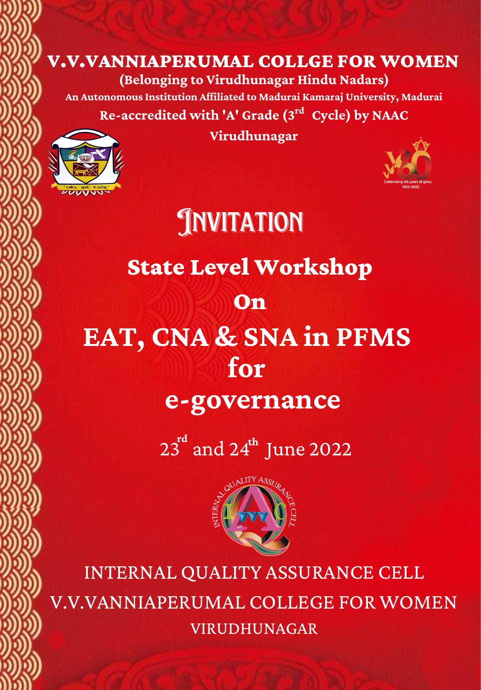## V.V.VANNIAPERUMAL COLLGE FOR WOMEN

**(Belonging to Virudhunagar Hindu Nadars)**

**An Autonomous Institution Affiliated to Madurai Kamaraj University, Madurai Re-accredited with 'A' Grade (3 Cycle) by NAAC rd**



**Virudhunagar**



State Level Workshop On **EAT, CNA & SNA in PFMS for e-governance JNVITATION** 

23<sup>rd</sup> and 24<sup>th</sup> June 2022



INTERNAL QUALITY ASSURANCE CELL V.V.VANNIAPERUMAL COLLEGE FOR WOMEN VIRUDHUNAGAR